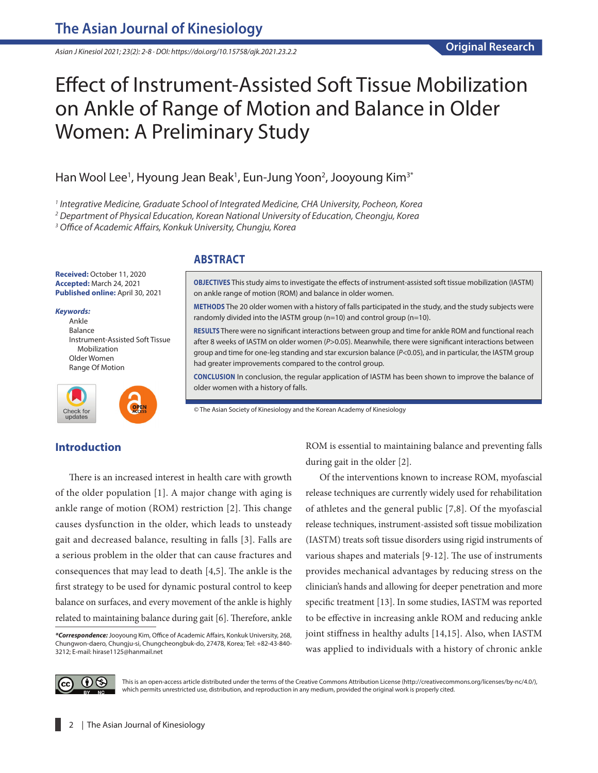*Asian J Kinesiol 2021; 23(2): 2-8 · DOI: https://doi.org/10.15758/ajk.2021.23.2.2*

# Effect of Instrument-Assisted Soft Tissue Mobilization on Ankle of Range of Motion and Balance in Older Women: A Preliminary Study

# Han Wool Lee<sup>1</sup>, Hyoung Jean Beak<sup>1</sup>, Eun-Jung Yoon<sup>2</sup>, Jooyoung Kim<sup>3\*</sup>

*1 Integrative Medicine, Graduate School of Integrated Medicine, CHA University, Pocheon, Korea*

*2 Department of Physical Education, Korean National University of Education, Cheongju, Korea*

*3 Office of Academic Affairs, Konkuk University, Chungju, Korea*

**Received:** October 11, 2020 **Accepted:** March 24, 2021 **Published online:** April 30, 2021

#### *Keywords:*

Ankle Balance Instrument-Assisted Soft Tissue Mobilization Older Women Range Of Motion



# **ABSTRACT**

**OBJECTIVES** This study aims to investigate the effects of instrument-assisted soft tissue mobilization (IASTM) on ankle range of motion (ROM) and balance in older women.

**METHODS** The 20 older women with a history of falls participated in the study, and the study subjects were randomly divided into the IASTM group (n=10) and control group (n=10).

**RESULTS** There were no significant interactions between group and time for ankle ROM and functional reach after 8 weeks of IASTM on older women (*P*>0.05). Meanwhile, there were significant interactions between group and time for one-leg standing and star excursion balance (*P*<0.05), and in particular, the IASTM group had greater improvements compared to the control group.

**CONCLUSION** In conclusion, the regular application of IASTM has been shown to improve the balance of older women with a history of falls.

© The Asian Society of Kinesiology and the Korean Academy of Kinesiology

# **Introduction**

There is an increased interest in health care with growth of the older population [1]. A major change with aging is ankle range of motion (ROM) restriction [2]. This change causes dysfunction in the older, which leads to unsteady gait and decreased balance, resulting in falls [3]. Falls are a serious problem in the older that can cause fractures and consequences that may lead to death [4,5]. The ankle is the first strategy to be used for dynamic postural control to keep balance on surfaces, and every movement of the ankle is highly related to maintaining balance during gait [6]. Therefore, ankle ROM is essential to maintaining balance and preventing falls during gait in the older [2].

Of the interventions known to increase ROM, myofascial release techniques are currently widely used for rehabilitation of athletes and the general public [7,8]. Of the myofascial release techniques, instrument-assisted soft tissue mobilization (IASTM) treats soft tissue disorders using rigid instruments of various shapes and materials [9-12]. The use of instruments provides mechanical advantages by reducing stress on the clinician's hands and allowing for deeper penetration and more specific treatment [13]. In some studies, IASTM was reported to be effective in increasing ankle ROM and reducing ankle joint stiffness in healthy adults [14,15]. Also, when IASTM was applied to individuals with a history of chronic ankle



This is an open-access article distributed under the terms of the Creative Commons Attribution License (http://creativecommons.org/licenses/by-nc/4.0/), which permits unrestricted use, distribution, and reproduction in any medium, provided the original work is properly cited.

*<sup>\*</sup>Correspondence:* Jooyoung Kim, Office of Academic Affairs, Konkuk University, 268, Chungwon-daero, Chungju-si, Chungcheongbuk-do, 27478, Korea; Tel: +82-43-840- 3212; E-mail: hirase1125@hanmail.net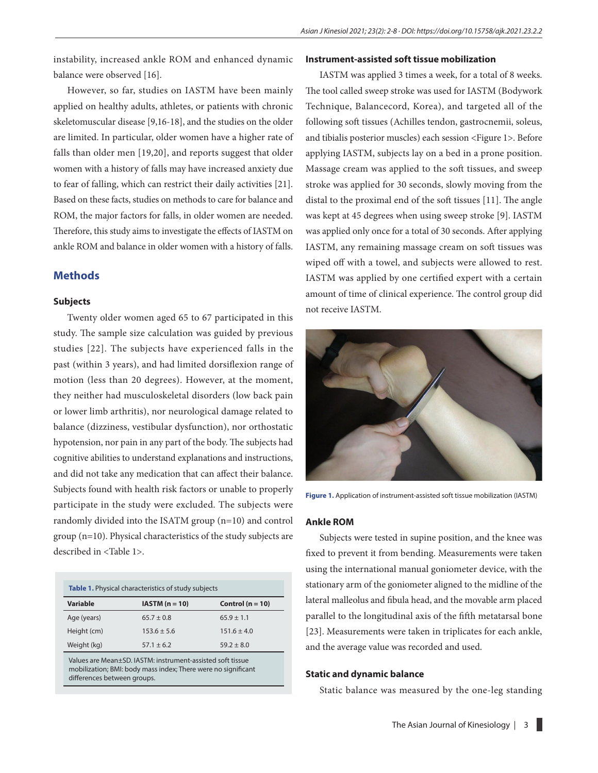instability, increased ankle ROM and enhanced dynamic balance were observed [16].

However, so far, studies on IASTM have been mainly applied on healthy adults, athletes, or patients with chronic skeletomuscular disease [9,16-18], and the studies on the older are limited. In particular, older women have a higher rate of falls than older men [19,20], and reports suggest that older women with a history of falls may have increased anxiety due to fear of falling, which can restrict their daily activities [21]. Based on these facts, studies on methods to care for balance and ROM, the major factors for falls, in older women are needed. Therefore, this study aims to investigate the effects of IASTM on ankle ROM and balance in older women with a history of falls.

# **Methods**

## **Subjects**

Twenty older women aged 65 to 67 participated in this study. The sample size calculation was guided by previous studies [22]. The subjects have experienced falls in the past (within 3 years), and had limited dorsiflexion range of motion (less than 20 degrees). However, at the moment, they neither had musculoskeletal disorders (low back pain or lower limb arthritis), nor neurological damage related to balance (dizziness, vestibular dysfunction), nor orthostatic hypotension, nor pain in any part of the body. The subjects had cognitive abilities to understand explanations and instructions, and did not take any medication that can affect their balance. Subjects found with health risk factors or unable to properly participate in the study were excluded. The subjects were randomly divided into the ISATM group (n=10) and control group (n=10). Physical characteristics of the study subjects are described in <Table 1>.

| <b>Table 1.</b> Physical characteristics of study subjects |                  |                      |  |
|------------------------------------------------------------|------------------|----------------------|--|
| Variable                                                   | $IASTM (n = 10)$ | Control ( $n = 10$ ) |  |
| Age (years)                                                | $65.7 \pm 0.8$   | $65.9 \pm 1.1$       |  |
| Height (cm)                                                | $153.6 \pm 5.6$  | $151.6 \pm 4.0$      |  |
| Weight (kg)                                                | $57.1 \pm 6.2$   | $59.2 \pm 8.0$       |  |

Values are Mean±SD. IASTM: instrument-assisted soft tissue mobilization; BMI: body mass index; There were no significant differences between groups.

## **Instrument-assisted soft tissue mobilization**

IASTM was applied 3 times a week, for a total of 8 weeks. The tool called sweep stroke was used for IASTM (Bodywork Technique, Balancecord, Korea), and targeted all of the following soft tissues (Achilles tendon, gastrocnemii, soleus, and tibialis posterior muscles) each session <Figure 1>. Before applying IASTM, subjects lay on a bed in a prone position. Massage cream was applied to the soft tissues, and sweep stroke was applied for 30 seconds, slowly moving from the distal to the proximal end of the soft tissues [11]. The angle was kept at 45 degrees when using sweep stroke [9]. IASTM was applied only once for a total of 30 seconds. After applying IASTM, any remaining massage cream on soft tissues was wiped off with a towel, and subjects were allowed to rest. IASTM was applied by one certified expert with a certain amount of time of clinical experience. The control group did not receive IASTM.



**Figure 1.** Application of instrument-assisted soft tissue mobilization (IASTM)

#### **Ankle ROM**

Subjects were tested in supine position, and the knee was fixed to prevent it from bending. Measurements were taken using the international manual goniometer device, with the stationary arm of the goniometer aligned to the midline of the lateral malleolus and fibula head, and the movable arm placed parallel to the longitudinal axis of the fifth metatarsal bone [23]. Measurements were taken in triplicates for each ankle, and the average value was recorded and used.

#### **Static and dynamic balance**

Static balance was measured by the one-leg standing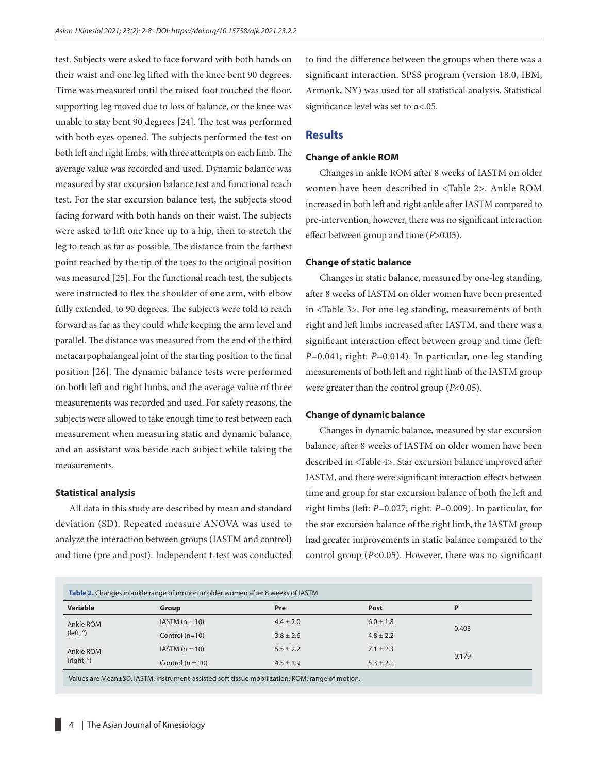test. Subjects were asked to face forward with both hands on their waist and one leg lifted with the knee bent 90 degrees. Time was measured until the raised foot touched the floor, supporting leg moved due to loss of balance, or the knee was unable to stay bent 90 degrees [24]. The test was performed with both eyes opened. The subjects performed the test on both left and right limbs, with three attempts on each limb. The average value was recorded and used. Dynamic balance was measured by star excursion balance test and functional reach test. For the star excursion balance test, the subjects stood facing forward with both hands on their waist. The subjects were asked to lift one knee up to a hip, then to stretch the leg to reach as far as possible. The distance from the farthest point reached by the tip of the toes to the original position was measured [25]. For the functional reach test, the subjects were instructed to flex the shoulder of one arm, with elbow fully extended, to 90 degrees. The subjects were told to reach forward as far as they could while keeping the arm level and parallel. The distance was measured from the end of the third metacarpophalangeal joint of the starting position to the final position [26]. The dynamic balance tests were performed on both left and right limbs, and the average value of three measurements was recorded and used. For safety reasons, the subjects were allowed to take enough time to rest between each measurement when measuring static and dynamic balance, and an assistant was beside each subject while taking the measurements.

#### **Statistical analysis**

All data in this study are described by mean and standard deviation (SD). Repeated measure ANOVA was used to analyze the interaction between groups (IASTM and control) and time (pre and post). Independent t-test was conducted

to find the difference between the groups when there was a significant interaction. SPSS program (version 18.0, IBM, Armonk, NY) was used for all statistical analysis. Statistical significance level was set to α<.05.

# **Results**

#### **Change of ankle ROM**

Changes in ankle ROM after 8 weeks of IASTM on older women have been described in <Table 2>. Ankle ROM increased in both left and right ankle after IASTM compared to pre-intervention, however, there was no significant interaction effect between group and time (*P*>0.05).

#### **Change of static balance**

Changes in static balance, measured by one-leg standing, after 8 weeks of IASTM on older women have been presented in <Table 3>. For one-leg standing, measurements of both right and left limbs increased after IASTM, and there was a significant interaction effect between group and time (left: *P*=0.041; right: *P*=0.014). In particular, one-leg standing measurements of both left and right limb of the IASTM group were greater than the control group (*P*<0.05).

#### **Change of dynamic balance**

Changes in dynamic balance, measured by star excursion balance, after 8 weeks of IASTM on older women have been described in <Table 4>. Star excursion balance improved after IASTM, and there were significant interaction effects between time and group for star excursion balance of both the left and right limbs (left: *P*=0.027; right: *P*=0.009). In particular, for the star excursion balance of the right limb, the IASTM group had greater improvements in static balance compared to the control group (*P*<0.05). However, there was no significant

| Table 2. Changes in ankle range of motion in older women after 8 weeks of IASTM |                                                                                                |               |               |       |
|---------------------------------------------------------------------------------|------------------------------------------------------------------------------------------------|---------------|---------------|-------|
| Variable                                                                        | Group                                                                                          | Pre           | Post          | Ρ     |
| Ankle ROM<br>(left, $^{\circ}$ )                                                | $IASTM (n = 10)$                                                                               | $4.4 \pm 2.0$ | $6.0 \pm 1.8$ | 0.403 |
|                                                                                 | Control $(n=10)$                                                                               | $3.8 \pm 2.6$ | $4.8 \pm 2.2$ |       |
| Ankle ROM<br>$(right, \degree)$                                                 | $IASTM (n = 10)$                                                                               | $5.5 \pm 2.2$ | $7.1 \pm 2.3$ |       |
|                                                                                 | Control ( $n = 10$ )                                                                           | $4.5 \pm 1.9$ | $5.3 \pm 2.1$ | 0.179 |
|                                                                                 | Values are Mean±SD. IASTM: instrument-assisted soft tissue mobilization; ROM: range of motion. |               |               |       |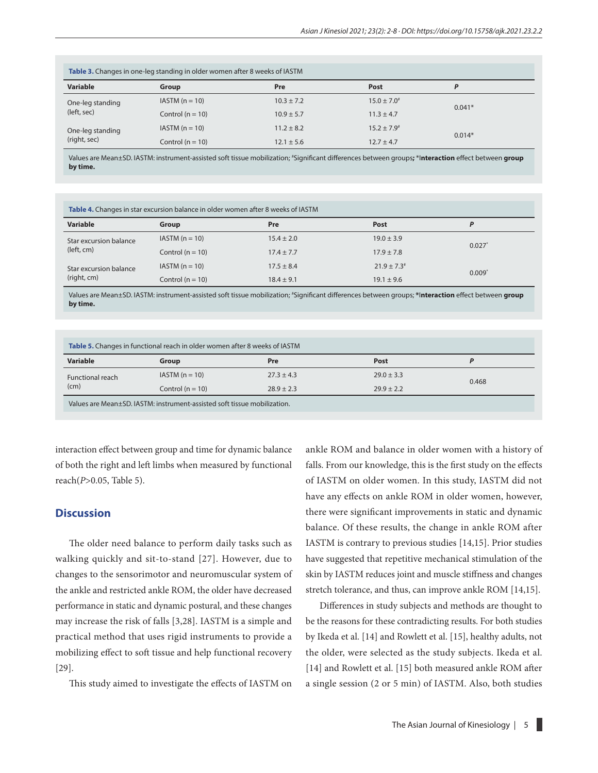| Table 3. Changes in one-leg standing in older women after 8 weeks of IASTM |                      |                |                           |          |
|----------------------------------------------------------------------------|----------------------|----------------|---------------------------|----------|
| <b>Variable</b>                                                            | Group                | Pre            | Post                      | P        |
| One-leg standing<br>(left, sec)                                            | $IASTM (n = 10)$     | $10.3 \pm 7.2$ | $15.0 \pm 7.0^*$          | $0.041*$ |
|                                                                            | Control ( $n = 10$ ) | $10.9 \pm 5.7$ | $11.3 \pm 4.7$            |          |
| One-leg standing<br>(right, sec)                                           | $IASTM (n = 10)$     | $11.2 \pm 8.2$ | $15.2 \pm 7.9^{\text{*}}$ | $0.014*$ |
|                                                                            | Control ( $n = 10$ ) | $12.1 \pm 5.6$ | $12.7 \pm 4.7$            |          |

Values are Mean±SD. IASTM: instrument-assisted soft tissue mobilization; # Significant differences between groups**;** \*I**nteraction** effect between **group by time.**

| Table 4. Changes in star excursion balance in older women after 8 weeks of IASTM |                      |                |                  |       |
|----------------------------------------------------------------------------------|----------------------|----------------|------------------|-------|
| Variable                                                                         | Group                | Pre            | Post             | P     |
| Star excursion balance<br>(left, cm)                                             | $IASTM (n = 10)$     | $15.4 \pm 2.0$ | $19.0 \pm 3.9$   | 0.027 |
|                                                                                  | Control ( $n = 10$ ) | $17.4 \pm 7.7$ | $17.9 \pm 7.8$   |       |
| Star excursion balance<br>(right, cm)                                            | $IASTM (n = 10)$     | $17.5 \pm 8.4$ | $21.9 \pm 7.3^*$ | 0.009 |
|                                                                                  | Control ( $n = 10$ ) | $18.4 \pm 9.1$ | $19.1 \pm 9.6$   |       |

Values are Mean±SD. IASTM: instrument-assisted soft tissue mobilization; # Significant differences between groups; **\***I**nteraction** effect between **group by time.**

| Table 5. Changes in functional reach in older women after 8 weeks of IASTM |                      |                |                |       |
|----------------------------------------------------------------------------|----------------------|----------------|----------------|-------|
| Variable                                                                   | Group                | Pre            | Post           |       |
| <b>Functional reach</b><br>(cm)                                            | $IASTM (n = 10)$     | $27.3 \pm 4.3$ | $29.0 \pm 3.3$ | 0.468 |
|                                                                            | Control ( $n = 10$ ) | $28.9 \pm 2.3$ | $79.9 + 2.2$   |       |
| Values are Mean+SD, IASTM: instrument-assisted soft tissue mobilization.   |                      |                |                |       |

interaction effect between group and time for dynamic balance of both the right and left limbs when measured by functional reach(*P*>0.05, Table 5).

# **Discussion**

The older need balance to perform daily tasks such as walking quickly and sit-to-stand [27]. However, due to changes to the sensorimotor and neuromuscular system of the ankle and restricted ankle ROM, the older have decreased performance in static and dynamic postural, and these changes may increase the risk of falls [3,28]. IASTM is a simple and practical method that uses rigid instruments to provide a mobilizing effect to soft tissue and help functional recovery [29].

This study aimed to investigate the effects of IASTM on

ankle ROM and balance in older women with a history of falls. From our knowledge, this is the first study on the effects of IASTM on older women. In this study, IASTM did not have any effects on ankle ROM in older women, however, there were significant improvements in static and dynamic balance. Of these results, the change in ankle ROM after IASTM is contrary to previous studies [14,15]. Prior studies have suggested that repetitive mechanical stimulation of the skin by IASTM reduces joint and muscle stiffness and changes stretch tolerance, and thus, can improve ankle ROM [14,15].

Differences in study subjects and methods are thought to be the reasons for these contradicting results. For both studies by Ikeda et al. [14] and Rowlett et al. [15], healthy adults, not the older, were selected as the study subjects. Ikeda et al. [14] and Rowlett et al. [15] both measured ankle ROM after a single session (2 or 5 min) of IASTM. Also, both studies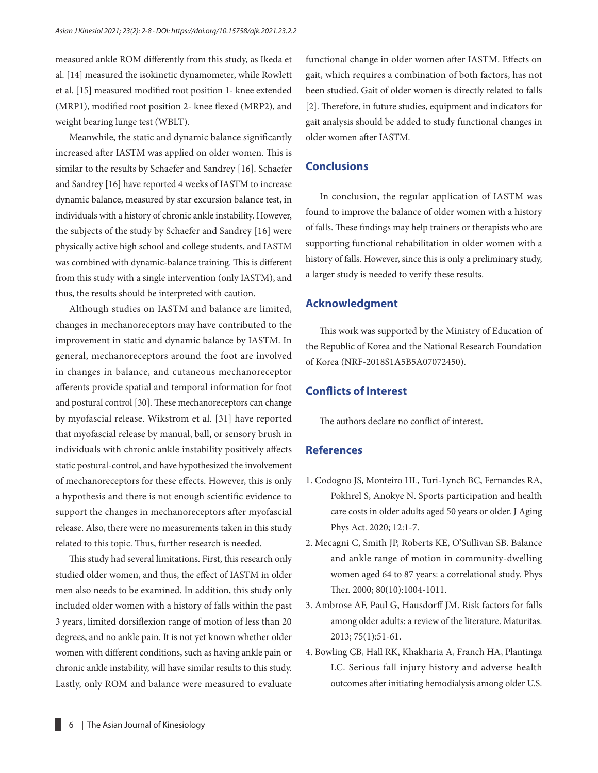measured ankle ROM differently from this study, as Ikeda et al. [14] measured the isokinetic dynamometer, while Rowlett et al. [15] measured modified root position 1- knee extended (MRP1), modified root position 2- knee flexed (MRP2), and weight bearing lunge test (WBLT).

Meanwhile, the static and dynamic balance significantly increased after IASTM was applied on older women. This is similar to the results by [Schaefer](https://www.ncbi.nlm.nih.gov/pubmed/?term=Schaefer%20JL%5BAuthor%5D&cauthor=true&cauthor_uid=23118072) and [Sandrey](https://www.ncbi.nlm.nih.gov/pubmed/?term=Sandrey%20MA%5BAuthor%5D&cauthor=true&cauthor_uid=23118072) [16]. [Schaefer](https://www.ncbi.nlm.nih.gov/pubmed/?term=Schaefer%20JL%5BAuthor%5D&cauthor=true&cauthor_uid=23118072) and [Sandrey](https://www.ncbi.nlm.nih.gov/pubmed/?term=Sandrey%20MA%5BAuthor%5D&cauthor=true&cauthor_uid=23118072) [16] have reported 4 weeks of IASTM to increase dynamic balance, measured by star excursion balance test, in individuals with a history of chronic ankle instability. However, the subjects of the study by [Schaefer](https://www.ncbi.nlm.nih.gov/pubmed/?term=Schaefer%20JL%5BAuthor%5D&cauthor=true&cauthor_uid=23118072) and [Sandrey](https://www.ncbi.nlm.nih.gov/pubmed/?term=Sandrey%20MA%5BAuthor%5D&cauthor=true&cauthor_uid=23118072) [16] were physically active high school and college students, and IASTM was combined with dynamic-balance training. This is different from this study with a single intervention (only IASTM), and thus, the results should be interpreted with caution.

Although studies on IASTM and balance are limited, changes in mechanoreceptors may have contributed to the improvement in static and dynamic balance by IASTM. In general, mechanoreceptors around the foot are involved in changes in balance, and cutaneous mechanoreceptor afferents provide spatial and temporal information for foot and postural control [30]. These mechanoreceptors can change by myofascial release. [Wikstrom](https://www.ncbi.nlm.nih.gov/pubmed/?term=Wikstrom%20EA%5BAuthor%5D&cauthor=true&cauthor_uid=28722491) et al. [31] have reported that myofascial release by manual, ball, or sensory brush in individuals with chronic ankle instability positively affects static postural-control, and have hypothesized the involvement of mechanoreceptors for these effects. However, this is only a hypothesis and there is not enough scientific evidence to support the changes in mechanoreceptors after myofascial release. Also, there were no measurements taken in this study related to this topic. Thus, further research is needed.

This study had several limitations. First, this research only studied older women, and thus, the effect of IASTM in older men also needs to be examined. In addition, this study only included older women with a history of falls within the past 3 years, limited dorsiflexion range of motion of less than 20 degrees, and no ankle pain. It is not yet known whether older women with different conditions, such as having ankle pain or chronic ankle instability, will have similar results to this study. Lastly, only ROM and balance were measured to evaluate functional change in older women after IASTM. Effects on gait, which requires a combination of both factors, has not been studied. Gait of older women is directly related to falls [2]. Therefore, in future studies, equipment and indicators for gait analysis should be added to study functional changes in older women after IASTM.

# **Conclusions**

In conclusion, the regular application of IASTM was found to improve the balance of older women with a history of falls. These findings may help trainers or therapists who are supporting functional rehabilitation in older women with a history of falls. However, since this is only a preliminary study, a larger study is needed to verify these results.

## **Acknowledgment**

This work was supported by the Ministry of Education of the Republic of Korea and the National Research Foundation of Korea (NRF-2018S1A5B5A07072450).

# **Conflicts of Interest**

The authors declare no conflict of interest.

# **References**

- 1. [Codogno JS](https://www.ncbi.nlm.nih.gov/pubmed/?term=Codogno%20JS%5BAuthor%5D&cauthor=true&cauthor_uid=32053793), [Monteiro HL](https://www.ncbi.nlm.nih.gov/pubmed/?term=Monteiro%20HL%5BAuthor%5D&cauthor=true&cauthor_uid=32053793), [Turi-Lynch BC,](https://www.ncbi.nlm.nih.gov/pubmed/?term=Turi-Lynch%20BC%5BAuthor%5D&cauthor=true&cauthor_uid=32053793) [Fernandes RA](https://www.ncbi.nlm.nih.gov/pubmed/?term=Fernandes%20RA%5BAuthor%5D&cauthor=true&cauthor_uid=32053793), [Pokhrel S,](https://www.ncbi.nlm.nih.gov/pubmed/?term=Pokhrel%20S%5BAuthor%5D&cauthor=true&cauthor_uid=32053793) [Anokye N.](https://www.ncbi.nlm.nih.gov/pubmed/?term=Anokye%20N%5BAuthor%5D&cauthor=true&cauthor_uid=32053793) Sports participation and health care costs in older adults aged 50 years or older. [J Aging](https://www.ncbi.nlm.nih.gov/pubmed/?term=Codogno+et+al.%2C+2020+health+care) [Phys Act.](https://www.ncbi.nlm.nih.gov/pubmed/?term=Codogno+et+al.%2C+2020+health+care) 2020; 12:1-7.
- 2. [Mecagni C,](https://www.ncbi.nlm.nih.gov/pubmed/?term=Mecagni%20C%5BAuthor%5D&cauthor=true&cauthor_uid=11002436) [Smith JP](https://www.ncbi.nlm.nih.gov/pubmed/?term=Smith%20JP%5BAuthor%5D&cauthor=true&cauthor_uid=11002436), [Roberts KE](https://www.ncbi.nlm.nih.gov/pubmed/?term=Roberts%20KE%5BAuthor%5D&cauthor=true&cauthor_uid=11002436), [O'Sullivan SB.](https://www.ncbi.nlm.nih.gov/pubmed/?term=O) Balance and ankle range of motion in community-dwelling women aged 64 to 87 years: a correlational study. [Phys](https://www.ncbi.nlm.nih.gov/pubmed/?term=Mecagni+et+al.%2C+2000+ankle+ROM) [Ther.](https://www.ncbi.nlm.nih.gov/pubmed/?term=Mecagni+et+al.%2C+2000+ankle+ROM) 2000; 80(10):1004-1011.
- 3. [Ambrose AF](https://www.ncbi.nlm.nih.gov/pubmed/?term=Ambrose%20AF%5BAuthor%5D&cauthor=true&cauthor_uid=23523272), [Paul G,](https://www.ncbi.nlm.nih.gov/pubmed/?term=Paul%20G%5BAuthor%5D&cauthor=true&cauthor_uid=23523272) [Hausdorff JM](https://www.ncbi.nlm.nih.gov/pubmed/?term=Hausdorff%20JM%5BAuthor%5D&cauthor=true&cauthor_uid=23523272). Risk factors for falls among older adults: a review of the literature. [Maturitas.](https://www.ncbi.nlm.nih.gov/pubmed/23523272) 2013; 75(1):51-61.
- 4. Bowling CB, Hall RK, Khakharia A, Franch HA, Plantinga LC. [Serious fall injury history and adverse health](https://www.ncbi.nlm.nih.gov/pubmed/29346522) [outcomes after initiating hemodialysis among older U.S.](https://www.ncbi.nlm.nih.gov/pubmed/29346522)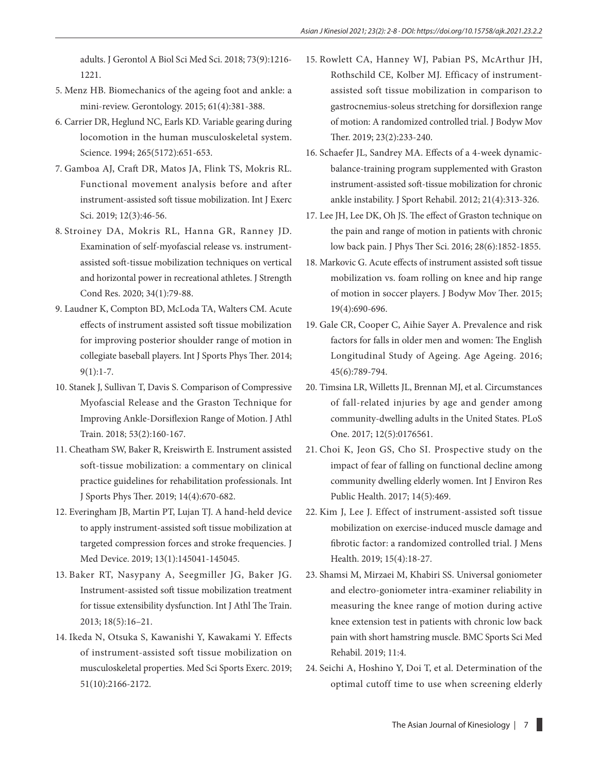[adults.](https://www.ncbi.nlm.nih.gov/pubmed/29346522) J Gerontol A Biol Sci Med Sci. 2018; 73(9):1216- 1221.

- 5. Menz HB. [Biomechanics of the ageing foot and ankle: a](https://www.ncbi.nlm.nih.gov/pubmed/25402236)  [mini-review.](https://www.ncbi.nlm.nih.gov/pubmed/25402236) Gerontology. 2015; 61(4):381-388.
- 6. Carrier DR, Heglund NC, Earls KD. [Variable gearing during](https://www.ncbi.nlm.nih.gov/pubmed/8036513)  [locomotion in the human musculoskeletal system.](https://www.ncbi.nlm.nih.gov/pubmed/8036513) Science. 1994; 265(5172):651-653.
- 7. [Gamboa AJ,](https://www.ncbi.nlm.nih.gov/pubmed/?term=Gamboa%20AJ%5BAuthor%5D&cauthor=true&cauthor_uid=30761198) [Craft DR](https://www.ncbi.nlm.nih.gov/pubmed/?term=Craft%20DR%5BAuthor%5D&cauthor=true&cauthor_uid=30761198), [Matos JA,](https://www.ncbi.nlm.nih.gov/pubmed/?term=Matos%20JA%5BAuthor%5D&cauthor=true&cauthor_uid=30761198) [Flink TS,](https://www.ncbi.nlm.nih.gov/pubmed/?term=Flink%20TS%5BAuthor%5D&cauthor=true&cauthor_uid=30761198) [Mokris RL.](https://www.ncbi.nlm.nih.gov/pubmed/?term=Mokris%20RL%5BAuthor%5D&cauthor=true&cauthor_uid=30761198) Functional movement analysis before and after instrument-assisted soft tissue mobilization. [Int J Exerc](https://www.ncbi.nlm.nih.gov/pubmed/?term=IASTM+Gamboa)  [Sci.](https://www.ncbi.nlm.nih.gov/pubmed/?term=IASTM+Gamboa) 2019; 12(3):46-56.
- 8. [Stroiney DA](https://www.ncbi.nlm.nih.gov/pubmed/?term=Stroiney%20DA%5BAuthor%5D&cauthor=true&cauthor_uid=29742744), [Mokris RL,](https://www.ncbi.nlm.nih.gov/pubmed/?term=Mokris%20RL%5BAuthor%5D&cauthor=true&cauthor_uid=29742744) [Hanna GR,](https://www.ncbi.nlm.nih.gov/pubmed/?term=Hanna%20GR%5BAuthor%5D&cauthor=true&cauthor_uid=29742744) [Ranney JD.](https://www.ncbi.nlm.nih.gov/pubmed/?term=Ranney%20JD%5BAuthor%5D&cauthor=true&cauthor_uid=29742744) Examination of self-myofascial release vs. instrumentassisted soft-tissue mobilization techniques on vertical and horizontal power in recreational athletes. [J Strength](https://www.ncbi.nlm.nih.gov/pubmed/29742744)  [Cond Res.](https://www.ncbi.nlm.nih.gov/pubmed/29742744) 2020; 34(1):79-88.
- 9. Laudner K, Compton BD, McLoda TA, Walters CM. [Acute](https://www.ncbi.nlm.nih.gov/pubmed/24567849)  [effects of instrument assisted soft tissue mobilization](https://www.ncbi.nlm.nih.gov/pubmed/24567849)  [for improving posterior shoulder range of motion in](https://www.ncbi.nlm.nih.gov/pubmed/24567849)  [collegiate baseball players.](https://www.ncbi.nlm.nih.gov/pubmed/24567849) Int J Sports Phys Ther. 2014; 9(1):1-7.
- 10. Stanek J, Sullivan T, Davis S. [Comparison of Compressive](https://www.ncbi.nlm.nih.gov/pubmed/29373060)  [Myofascial Release and the Graston Technique for](https://www.ncbi.nlm.nih.gov/pubmed/29373060)  [Improving Ankle-Dorsiflexion Range of Motion.](https://www.ncbi.nlm.nih.gov/pubmed/29373060) J Athl Train. 2018; 53(2):160-167.
- 11. [Cheatham SW,](https://www.ncbi.nlm.nih.gov/pubmed/?term=Cheatham%20SW%5BAuthor%5D&cauthor=true&cauthor_uid=31440416) [Baker R,](https://www.ncbi.nlm.nih.gov/pubmed/?term=Baker%20R%5BAuthor%5D&cauthor=true&cauthor_uid=31440416) [Kreiswirth E](https://www.ncbi.nlm.nih.gov/pubmed/?term=Kreiswirth%20E%5BAuthor%5D&cauthor=true&cauthor_uid=31440416). Instrument assisted soft-tissue mobilization: a commentary on clinical practice guidelines for rehabilitation professionals. [Int](https://www.ncbi.nlm.nih.gov/pubmed/?term=INSTRUMENT+ASSISTED+SOFT-TISSUE+MOBILIZATION%3A+A+COMMENTARY+ON+CLINICAL+PRACTICE+GUIDELINES+FOR+REHABILITATION+PROFESSIONALS)  [J Sports Phys Ther.](https://www.ncbi.nlm.nih.gov/pubmed/?term=INSTRUMENT+ASSISTED+SOFT-TISSUE+MOBILIZATION%3A+A+COMMENTARY+ON+CLINICAL+PRACTICE+GUIDELINES+FOR+REHABILITATION+PROFESSIONALS) 2019; 14(4):670-682.
- 12. [Everingham JB,](https://www.ncbi.nlm.nih.gov/pubmed/?term=Everingham%20JB%5BAuthor%5D&cauthor=true&cauthor_uid=30662581) [Martin PT,](https://www.ncbi.nlm.nih.gov/pubmed/?term=Martin%20PT%5BAuthor%5D&cauthor=true&cauthor_uid=30662581) [Lujan TJ.](https://www.ncbi.nlm.nih.gov/pubmed/?term=Lujan%20TJ%5BAuthor%5D&cauthor=true&cauthor_uid=30662581) A hand-held device to apply instrument-assisted soft tissue mobilization at targeted compression forces and stroke frequencies. [J](https://www.ncbi.nlm.nih.gov/pubmed/30662581)  [Med Device.](https://www.ncbi.nlm.nih.gov/pubmed/30662581) 2019; 13(1):145041-145045.
- 13. Baker RT, Nasypany A, Seegmiller JG, Baker JG. Instrument-assisted soft tissue mobilization treatment for tissue extensibility dysfunction. Int J Athl The Train. 2013; 18(5):16–21.
- 14. [Ikeda N](https://www.ncbi.nlm.nih.gov/pubmed/?term=Ikeda%20N%5BAuthor%5D&cauthor=true&cauthor_uid=31083046), [Otsuka S](https://www.ncbi.nlm.nih.gov/pubmed/?term=Otsuka%20S%5BAuthor%5D&cauthor=true&cauthor_uid=31083046), [Kawanishi Y](https://www.ncbi.nlm.nih.gov/pubmed/?term=Kawanishi%20Y%5BAuthor%5D&cauthor=true&cauthor_uid=31083046), [Kawakami Y.](https://www.ncbi.nlm.nih.gov/pubmed/?term=Kawakami%20Y%5BAuthor%5D&cauthor=true&cauthor_uid=31083046) Effects of instrument-assisted soft tissue mobilization on musculoskeletal properties. [Med Sci Sports Exerc.](https://www.ncbi.nlm.nih.gov/pubmed/?term=IASTM+Ikeda) 2019; 51(10):2166-2172.
- 15. [Rowlett CA](https://www.ncbi.nlm.nih.gov/pubmed/?term=Rowlett%20CA%5BAuthor%5D&cauthor=true&cauthor_uid=31103101), [Hanney WJ](https://www.ncbi.nlm.nih.gov/pubmed/?term=Hanney%20WJ%5BAuthor%5D&cauthor=true&cauthor_uid=31103101), [Pabian PS](https://www.ncbi.nlm.nih.gov/pubmed/?term=Pabian%20PS%5BAuthor%5D&cauthor=true&cauthor_uid=31103101), [McArthur JH,](https://www.ncbi.nlm.nih.gov/pubmed/?term=McArthur%20JH%5BAuthor%5D&cauthor=true&cauthor_uid=31103101) [Rothschild CE,](https://www.ncbi.nlm.nih.gov/pubmed/?term=Rothschild%20CE%5BAuthor%5D&cauthor=true&cauthor_uid=31103101) [Kolber MJ](https://www.ncbi.nlm.nih.gov/pubmed/?term=Kolber%20MJ%5BAuthor%5D&cauthor=true&cauthor_uid=31103101). Efficacy of instrumentassisted soft tissue mobilization in comparison to gastrocnemius-soleus stretching for dorsiflexion range of motion: A randomized controlled trial. [J Bodyw Mov](https://www.ncbi.nlm.nih.gov/pubmed/?term=IASTM+Rowlett+et+al.%2C+2019) [Ther.](https://www.ncbi.nlm.nih.gov/pubmed/?term=IASTM+Rowlett+et+al.%2C+2019) 2019; 23(2):233-240.
- 16. [Schaefer JL,](https://www.ncbi.nlm.nih.gov/pubmed/?term=Schaefer%20JL%5BAuthor%5D&cauthor=true&cauthor_uid=23118072) [Sandrey MA.](https://www.ncbi.nlm.nih.gov/pubmed/?term=Sandrey%20MA%5BAuthor%5D&cauthor=true&cauthor_uid=23118072) Effects of a 4-week dynamicbalance-training program supplemented with Graston instrument-assisted soft-tissue mobilization for chronic ankle instability. [J Sport Rehabil.](https://www.ncbi.nlm.nih.gov/pubmed/?term=Schaefer+and+Sandrey) 2012; 21(4):313-326.
- 17. Lee JH, Lee DK, Oh JS. [The effect of Graston technique on](https://www.ncbi.nlm.nih.gov/pubmed/27390432) [the pain and range of motion in patients with chronic](https://www.ncbi.nlm.nih.gov/pubmed/27390432) [low back pain.](https://www.ncbi.nlm.nih.gov/pubmed/27390432) J Phys Ther Sci. 2016; 28(6):1852-1855.
- 18. Markovic G. [Acute effects of instrument assisted soft tissue](https://www.ncbi.nlm.nih.gov/pubmed/26592226) [mobilization vs. foam rolling on knee and hip range](https://www.ncbi.nlm.nih.gov/pubmed/26592226) [of motion in soccer players.](https://www.ncbi.nlm.nih.gov/pubmed/26592226) J Bodyw Mov Ther. 2015; 19(4):690-696.
- 19. [Gale CR](https://www.ncbi.nlm.nih.gov/pubmed/?term=Gale%20CR%5BAuthor%5D&cauthor=true&cauthor_uid=27496938), [Cooper C,](https://www.ncbi.nlm.nih.gov/pubmed/?term=Cooper%20C%5BAuthor%5D&cauthor=true&cauthor_uid=27496938) [Aihie Sayer A.](https://www.ncbi.nlm.nih.gov/pubmed/?term=Aihie%20Sayer%20A%5BAuthor%5D&cauthor=true&cauthor_uid=27496938) Prevalence and risk factors for falls in older men and women: The English Longitudinal Study of Ageing. [Age Ageing.](https://www.ncbi.nlm.nih.gov/pubmed/27496938) 2016; 45(6):789-794.
- 20. [Timsina LR,](https://www.ncbi.nlm.nih.gov/pubmed/?term=Timsina%20LR%5BAuthor%5D&cauthor=true&cauthor_uid=28472065) [Willetts JL,](https://www.ncbi.nlm.nih.gov/pubmed/?term=Willetts%20JL%5BAuthor%5D&cauthor=true&cauthor_uid=28472065) [Brennan MJ,](https://www.ncbi.nlm.nih.gov/pubmed/?term=Brennan%20MJ%5BAuthor%5D&cauthor=true&cauthor_uid=28472065) et al. Circumstances of fall-related injuries by age and gender among community-dwelling adults in the United States. [PLoS](https://www.ncbi.nlm.nih.gov/pubmed/?term=Timsina+et+al.%2C+2017+falls) [One.](https://www.ncbi.nlm.nih.gov/pubmed/?term=Timsina+et+al.%2C+2017+falls) 2017; 12(5):0176561.
- 21. [Choi K](https://www.ncbi.nlm.nih.gov/pubmed/?term=Choi%20K%5BAuthor%5D&cauthor=true&cauthor_uid=28448461), [Jeon GS,](https://www.ncbi.nlm.nih.gov/pubmed/?term=Jeon%20GS%5BAuthor%5D&cauthor=true&cauthor_uid=28448461) [Cho SI.](https://www.ncbi.nlm.nih.gov/pubmed/?term=Cho%20SI%5BAuthor%5D&cauthor=true&cauthor_uid=28448461) Prospective study on the impact of fear of falling on functional decline among community dwelling elderly women. [Int J Environ Res](https://www.ncbi.nlm.nih.gov/pubmed/?term=Prospective+Study+on+the+Impact+of+Fear+of+Falling+on+Functional+Decline+among+Community+Dwelling+Elderly+Women) [Public Health.](https://www.ncbi.nlm.nih.gov/pubmed/?term=Prospective+Study+on+the+Impact+of+Fear+of+Falling+on+Functional+Decline+among+Community+Dwelling+Elderly+Women) 2017; 14(5):469.
- 22. Kim J, Lee J. Effect of instrument-assisted soft tissue mobilization on exercise-induced muscle damage and fibrotic factor: a randomized controlled trial. J Mens Health. 2019; 15(4):18-27.
- 23. Shamsi M, Mirzaei M, Khabiri SS. Universal goniometer and electro-goniometer intra-examiner reliability in measuring the knee range of motion during active knee extension test in patients with chronic low back pain with short hamstring muscle. BMC Sports Sci Med Rehabil. 2019; 11:4.
- 24. Seichi A, Hoshino Y, Doi T, et al. Determination of the optimal cutoff time to use when screening elderly